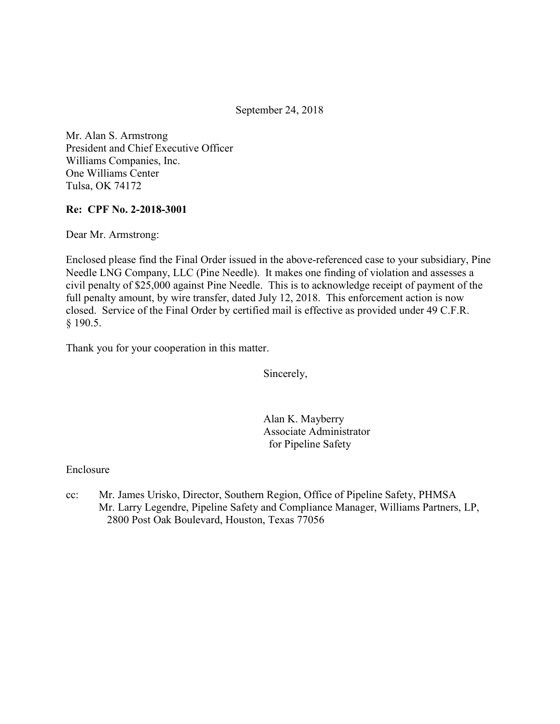September 24, 2018

 Mr. Alan S. Armstrong President and Chief Executive Officer Williams Companies, Inc. One Williams Center Tulsa, OK 74172

#### Re: CPF No. 2-2018-3001

Dear Mr. Armstrong:

 Enclosed please find the Final Order issued in the above-referenced case to your subsidiary, Pine Needle LNG Company, LLC (Pine Needle). It makes one finding of violation and assesses a civil penalty of \$25,000 against Pine Needle. This is to acknowledge receipt of payment of the full penalty amount, by wire transfer, dated July 12, 2018. This enforcement action is now closed. Service of the Final Order by certified mail is effective as provided under 49 C.F.R. § 190.5.

Thank you for your cooperation in this matter.

Sincerely,

 Alan K. Mayberry Associate Administrator for Pipeline Safety

Enclosure

 $cc$ : Mr. Larry Legendre, Pipeline Safety and Compliance Manager, Williams Partners, LP, 2800 Post Oak Boulevard, Houston, Texas 77056Mr. James Urisko, Director, Southern Region, Office of Pipeline Safety, PHMSA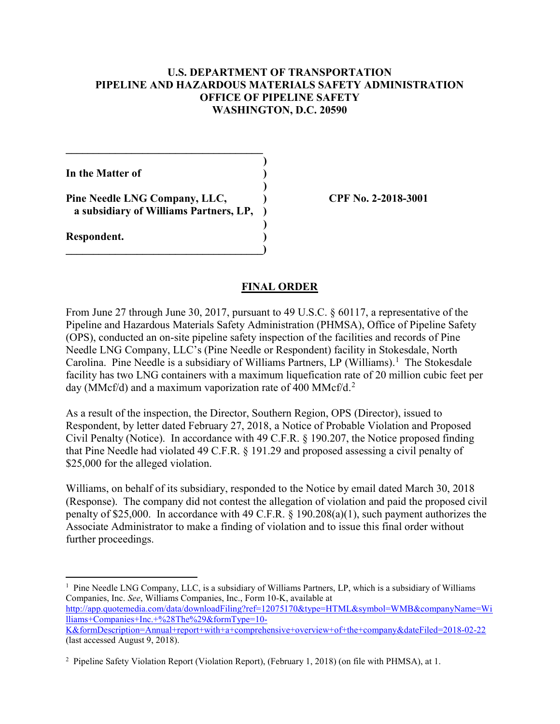# U.S. DEPARTMENT OF TRANSPORTATION PIPELINE AND HAZARDOUS MATERIALS SAFETY ADMINISTRATION OFFICE OF PIPELINE SAFETY WASHINGTON, D.C. 20590

)

)

)

In the Matter of  $($ 

Pine Needle LNG Company, LLC,  $\qquad \qquad$  CPF No. 2-2018-3001 a subsidiary of Williams Partners, LP, )

 $\qquad \qquad \Box$ 

 $\mathcal{L}_\text{max}$  and  $\mathcal{L}_\text{max}$  and  $\mathcal{L}_\text{max}$  and  $\mathcal{L}_\text{max}$ 

Respondent. )

1

### FINAL ORDER

 From June 27 through June 30, 2017, pursuant to 49 U.S.C. § 60117, a representative of the Pipeline and Hazardous Materials Safety Administration (PHMSA), Office of Pipeline Safety (OPS), conducted an on-site pipeline safety inspection of the facilities and records of Pine Needle LNG Company, LLC's (Pine Needle or Respondent) facility in Stokesdale, North Carolina. Pine Needle is a subsidiary of Williams Partners, LP (Williams).<sup>1</sup> The Stokesdale facility has two LNG containers with a maximum liquefication rate of 20 million cubic feet per day (MMcf/d) and a maximum vaporization rate of 400 MMcf/d.<sup>2</sup>

 As a result of the inspection, the Director, Southern Region, OPS (Director), issued to Respondent, by letter dated February 27, 2018, a Notice of Probable Violation and Proposed Civil Penalty (Notice). In accordance with 49 C.F.R. § 190.207, the Notice proposed finding that Pine Needle had violated 49 C.F.R. § 191.29 and proposed assessing a civil penalty of \$25,000 for the alleged violation.

 Williams, on behalf of its subsidiary, responded to the Notice by email dated March 30, 2018 (Response). The company did not contest the allegation of violation and paid the proposed civil penalty of \$25,000. In accordance with 49 C.F.R. § 190.208(a)(1), such payment authorizes the Associate Administrator to make a finding of violation and to issue this final order without further proceedings.

 $1$  Pine Needle LNG Company, LLC, is a subsidiary of Williams Partners, LP, which is a subsidiary of Williams Companies, Inc. See, Williams Companies, Inc., Form 10-K, available at (last accessed August 9, 2018). http://app.quotemedia.com/data/downloadFiling?ref=12075170&type=HTML&symbol=WMB&companyName=Wi lliams+Companies+Inc.+%28The%29&formType=10- K&formDescription=Annual+report+with+a+comprehensive+overview+of+the+company&dateFiled=2018-02-22

 <sup>2</sup> Pipeline Safety Violation Report (Violation Report), (February 1, 2018) (on file with PHMSA), at 1.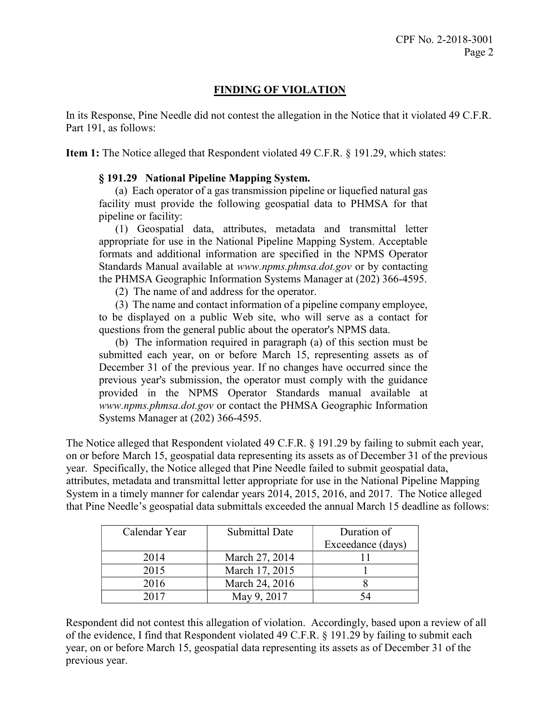# FINDING OF VIOLATION

 In its Response, Pine Needle did not contest the allegation in the Notice that it violated 49 C.F.R. Part 191, as follows:

Item 1: The Notice alleged that Respondent violated 49 C.F.R. § 191.29, which states:

# § 191.29 National Pipeline Mapping System.

 (a) Each operator of a gas transmission pipeline or liquefied natural gas facility must provide the following geospatial data to PHMSA for that pipeline or facility:

 (1) Geospatial data, attributes, metadata and transmittal letter appropriate for use in the National Pipeline Mapping System. Acceptable formats and additional information are specified in the NPMS Operator Standards Manual available at www.npms.phmsa.dot.gov or by contacting the PHMSA Geographic Information Systems Manager at (202) 366-4595.

(2) The name of and address for the operator.

 (3) The name and contact information of a pipeline company employee, to be displayed on a public Web site, who will serve as a contact for questions from the general public about the operator's NPMS data.

 (b) The information required in paragraph (a) of this section must be submitted each year, on or before March 15, representing assets as of December 31 of the previous year. If no changes have occurred since the previous year's submission, the operator must comply with the guidance provided in the NPMS Operator Standards manual available at www.npms.phmsa.dot.gov or contact the PHMSA Geographic Information Systems Manager at (202) 366-4595.

 The Notice alleged that Respondent violated 49 C.F.R. § 191.29 by failing to submit each year, on or before March 15, geospatial data representing its assets as of December 31 of the previous year. Specifically, the Notice alleged that Pine Needle failed to submit geospatial data, attributes, metadata and transmittal letter appropriate for use in the National Pipeline Mapping System in a timely manner for calendar years 2014, 2015, 2016, and 2017. The Notice alleged that Pine Needle's geospatial data submittals exceeded the annual March 15 deadline as follows:

| Calendar Year | Submittal Date | Duration of       |
|---------------|----------------|-------------------|
|               |                | Exceedance (days) |
| 2014          | March 27, 2014 |                   |
| 2015          | March 17, 2015 |                   |
| 2016          | March 24, 2016 |                   |
| 2017          | May 9, 2017    |                   |

 Respondent did not contest this allegation of violation. Accordingly, based upon a review of all of the evidence, I find that Respondent violated 49 C.F.R. § 191.29 by failing to submit each year, on or before March 15, geospatial data representing its assets as of December 31 of the previous year.